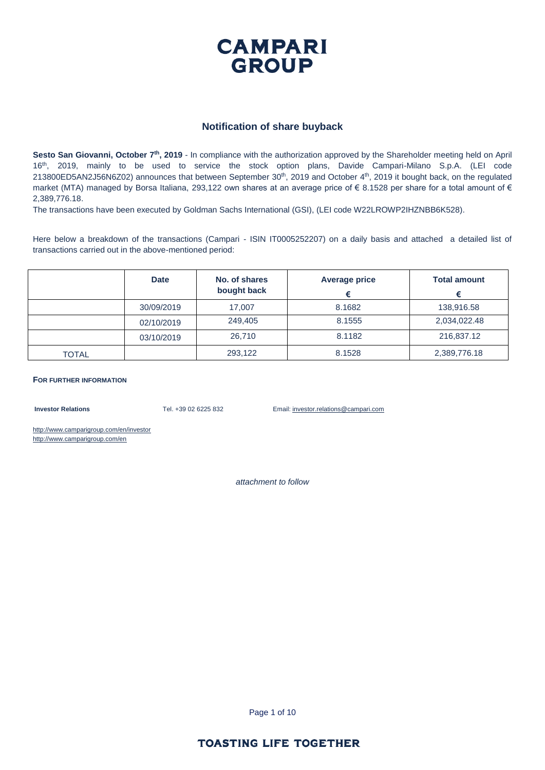

#### **Notification of share buyback**

**Sesto San Giovanni, October 7 th, 2019** - In compliance with the authorization approved by the Shareholder meeting held on April 16th, 2019, mainly to be used to service the stock option plans, Davide Campari-Milano S.p.A. (LEI code  $213800ED5AN2J56NGZO2$ ) announces that between September  $30<sup>th</sup>$ ,  $2019$  and October  $4<sup>th</sup>$ ,  $2019$  it bought back, on the regulated market (MTA) managed by Borsa Italiana, 293,122 own shares at an average price of  $\epsilon$  8.1528 per share for a total amount of  $\epsilon$ 2,389,776.18.

The transactions have been executed by Goldman Sachs International (GSI), (LEI code W22LROWP2IHZNBB6K528).

Here below a breakdown of the transactions (Campari - ISIN IT0005252207) on a daily basis and attached a detailed list of transactions carried out in the above-mentioned period:

|              | <b>Date</b> | No. of shares<br>bought back | <b>Average price</b> | <b>Total amount</b> |
|--------------|-------------|------------------------------|----------------------|---------------------|
|              | 30/09/2019  | 17.007                       | 8.1682               | 138.916.58          |
|              | 02/10/2019  | 249,405                      | 8.1555               | 2,034,022.48        |
|              | 03/10/2019  | 26,710                       | 8.1182               | 216,837.12          |
| <b>TOTAL</b> |             | 293.122                      | 8.1528               | 2,389,776.18        |

**FOR FURTHER INFORMATION**

**Investor Relations** Tel. +39 02 6225 832 Email: investor.relations@campari.com

http://www.camparigroup.com/en/investor http://www.camparigroup.com/en

*attachment to follow*

Page 1 of 10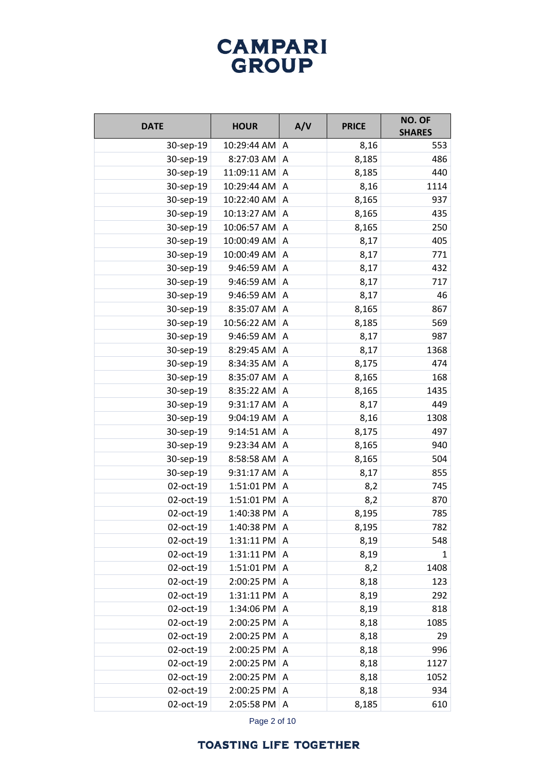| <b>DATE</b> | <b>HOUR</b>    | A/V | <b>PRICE</b> | NO. OF<br><b>SHARES</b> |
|-------------|----------------|-----|--------------|-------------------------|
| 30-sep-19   | 10:29:44 AM    | A   | 8,16         | 553                     |
| 30-sep-19   | 8:27:03 AM     | Α   | 8,185        | 486                     |
| 30-sep-19   | 11:09:11 AM    | A   | 8,185        | 440                     |
| 30-sep-19   | 10:29:44 AM    | Α   | 8,16         | 1114                    |
| 30-sep-19   | 10:22:40 AM    | A   | 8,165        | 937                     |
| 30-sep-19   | 10:13:27 AM    | Α   | 8,165        | 435                     |
| 30-sep-19   | 10:06:57 AM    | A   | 8,165        | 250                     |
| 30-sep-19   | 10:00:49 AM    | Α   | 8,17         | 405                     |
| 30-sep-19   | 10:00:49 AM    | A   | 8,17         | 771                     |
| 30-sep-19   | 9:46:59 AM     | Α   | 8,17         | 432                     |
| 30-sep-19   | 9:46:59 AM     | A   | 8,17         | 717                     |
| 30-sep-19   | 9:46:59 AM     | A   | 8,17         | 46                      |
| 30-sep-19   | 8:35:07 AM     | A   | 8,165        | 867                     |
| 30-sep-19   | 10:56:22 AM    | A   | 8,185        | 569                     |
| 30-sep-19   | 9:46:59 AM     | A   | 8,17         | 987                     |
| 30-sep-19   | 8:29:45 AM     | Α   | 8,17         | 1368                    |
| 30-sep-19   | 8:34:35 AM     | A   | 8,175        | 474                     |
| 30-sep-19   | 8:35:07 AM     | Α   | 8,165        | 168                     |
| 30-sep-19   | 8:35:22 AM     | A   | 8,165        | 1435                    |
| 30-sep-19   | 9:31:17 AM     | A   | 8,17         | 449                     |
| 30-sep-19   | 9:04:19 AM     | Α   | 8,16         | 1308                    |
| 30-sep-19   | 9:14:51 AM     | A   | 8,175        | 497                     |
| 30-sep-19   | 9:23:34 AM     | Α   | 8,165        | 940                     |
| 30-sep-19   | 8:58:58 AM     | A   | 8,165        | 504                     |
| 30-sep-19   | 9:31:17 AM     | Α   | 8,17         | 855                     |
| 02-oct-19   | 1:51:01 PM     | Α   | 8,2          | 745                     |
| 02-oct-19   | 1:51:01 PM     | Α   | 8,2          | 870                     |
| 02-oct-19   | 1:40:38 PM     | A   | 8,195        | 785                     |
| 02-oct-19   | 1:40:38 PM   A |     | 8,195        | 782                     |
| 02-oct-19   | 1:31:11 PM     | A   | 8,19         | 548                     |
| 02-oct-19   | 1:31:11 PM     | Α   | 8,19         | 1                       |
| 02-oct-19   | 1:51:01 PM     | A   | 8,2          | 1408                    |
| 02-oct-19   | 2:00:25 PM     | A   | 8,18         | 123                     |
| 02-oct-19   | 1:31:11 PM     | A   | 8,19         | 292                     |
| 02-oct-19   | 1:34:06 PM     | A   | 8,19         | 818                     |
| 02-oct-19   | 2:00:25 PM     | A   | 8,18         | 1085                    |
| 02-oct-19   | 2:00:25 PM     | A   | 8,18         | 29                      |
| 02-oct-19   | 2:00:25 PM     | A   | 8,18         | 996                     |
| 02-oct-19   | 2:00:25 PM     | A   | 8,18         | 1127                    |
| 02-oct-19   | 2:00:25 PM     | A   | 8,18         | 1052                    |
| 02-oct-19   | 2:00:25 PM A   |     | 8,18         | 934                     |
| 02-oct-19   | 2:05:58 PM A   |     | 8,185        | 610                     |

Page 2 of 10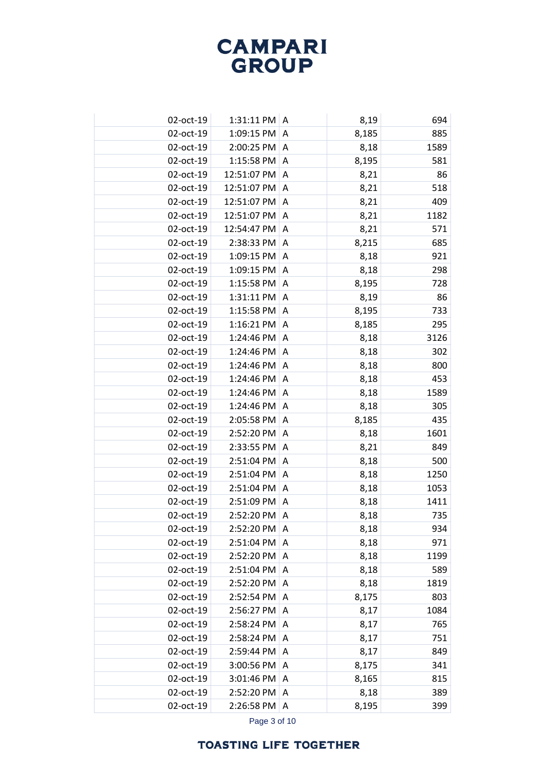| 02-oct-19 | 1:31:11 PM $ A $ |                | 8,19  | 694  |
|-----------|------------------|----------------|-------|------|
| 02-oct-19 | 1:09:15 PM       | A              | 8,185 | 885  |
| 02-oct-19 | 2:00:25 PM A     |                | 8,18  | 1589 |
| 02-oct-19 | 1:15:58 PM       | A              | 8,195 | 581  |
| 02-oct-19 | 12:51:07 PM A    |                | 8,21  | 86   |
| 02-oct-19 | 12:51:07 PM      | A              | 8,21  | 518  |
| 02-oct-19 | 12:51:07 PM      | $\overline{A}$ | 8,21  | 409  |
| 02-oct-19 | 12:51:07 PM      | A              | 8,21  | 1182 |
| 02-oct-19 | 12:54:47 PM      | A              | 8,21  | 571  |
| 02-oct-19 | 2:38:33 PM       | A              | 8,215 | 685  |
| 02-oct-19 | 1:09:15 PM       | A              | 8,18  | 921  |
| 02-oct-19 | 1:09:15 PM       | A              | 8,18  | 298  |
| 02-oct-19 | 1:15:58 PM       | A              | 8,195 | 728  |
| 02-oct-19 | 1:31:11 PM       | A              | 8,19  | 86   |
| 02-oct-19 | 1:15:58 PM       | A              | 8,195 | 733  |
| 02-oct-19 | 1:16:21 PM       | Α              | 8,185 | 295  |
| 02-oct-19 | 1:24:46 PM       | A              | 8,18  | 3126 |
| 02-oct-19 | 1:24:46 PM       | A              | 8,18  | 302  |
| 02-oct-19 | 1:24:46 PM       | A              | 8,18  | 800  |
| 02-oct-19 | 1:24:46 PM       | A              | 8,18  | 453  |
| 02-oct-19 | 1:24:46 PM       | A              | 8,18  | 1589 |
| 02-oct-19 | 1:24:46 PM       | A              | 8,18  | 305  |
| 02-oct-19 | 2:05:58 PM       | A              | 8,185 | 435  |
| 02-oct-19 | 2:52:20 PM       | Α              | 8,18  | 1601 |
| 02-oct-19 | 2:33:55 PM       | A              | 8,21  | 849  |
| 02-oct-19 | 2:51:04 PM       | Α              | 8,18  | 500  |
| 02-oct-19 | 2:51:04 PM       | A              | 8,18  | 1250 |
| 02-oct-19 | 2:51:04 PM       | Α              | 8,18  | 1053 |
| 02-oct-19 | 2:51:09 PM       | $\Lambda$      | 8,18  | 1411 |
| 02-oct-19 | 2:52:20 PM       | Α              | 8,18  | 735  |
| 02-oct-19 | 2:52:20 PM       | A              | 8,18  | 934  |
| 02-oct-19 | 2:51:04 PM       | Α              | 8,18  | 971  |
| 02-oct-19 | 2:52:20 PM       | $\mathsf{A}$   | 8,18  | 1199 |
| 02-oct-19 | 2:51:04 PM       | Α              | 8,18  | 589  |
| 02-oct-19 | 2:52:20 PM       | $\mathsf{A}$   | 8,18  | 1819 |
| 02-oct-19 | 2:52:54 PM       | A              | 8,175 | 803  |
| 02-oct-19 | 2:56:27 PM       | A              | 8,17  | 1084 |
| 02-oct-19 | 2:58:24 PM       | A              | 8,17  | 765  |
| 02-oct-19 | 2:58:24 PM       | A              | 8,17  | 751  |
| 02-oct-19 | 2:59:44 PM       | A              | 8,17  | 849  |
| 02-oct-19 | 3:00:56 PM       | A              | 8,175 | 341  |
| 02-oct-19 | 3:01:46 PM       | A              | 8,165 | 815  |
| 02-oct-19 | 2:52:20 PM       | A              | 8,18  | 389  |
| 02-oct-19 | 2:26:58 PM       | A              | 8,195 | 399  |

Page 3 of 10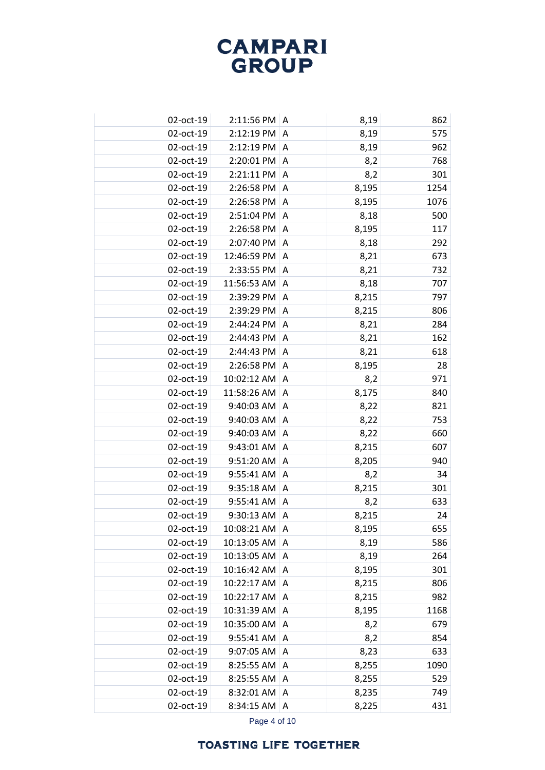| 02-oct-19 | $2:11:56$ PM   A      |                | 8,19  | 862  |
|-----------|-----------------------|----------------|-------|------|
| 02-oct-19 | 2:12:19 PM            | $\overline{A}$ | 8,19  | 575  |
| 02-oct-19 | $2:12:19$ PM $ A$     |                | 8,19  | 962  |
| 02-oct-19 | 2:20:01 PM A          |                | 8,2   | 768  |
| 02-oct-19 | $2:21:11$ PM $ A$     |                | 8,2   | 301  |
| 02-oct-19 | 2:26:58 PM            | A              | 8,195 | 1254 |
| 02-oct-19 | 2:26:58 PM A          |                | 8,195 | 1076 |
| 02-oct-19 | 2:51:04 PM            | A              | 8,18  | 500  |
| 02-oct-19 | $2:26:58$ PM $\mid$ A |                | 8,195 | 117  |
| 02-oct-19 | 2:07:40 PM            | A              | 8,18  | 292  |
| 02-oct-19 | 12:46:59 PM           | A              | 8,21  | 673  |
| 02-oct-19 | 2:33:55 PM            | A              | 8,21  | 732  |
| 02-oct-19 | 11:56:53 AM           | A              | 8,18  | 707  |
| 02-oct-19 | 2:39:29 PM            | A              | 8,215 | 797  |
| 02-oct-19 | 2:39:29 PM            | A              | 8,215 | 806  |
| 02-oct-19 | 2:44:24 PM            | A              | 8,21  | 284  |
| 02-oct-19 | 2:44:43 PM            | A              | 8,21  | 162  |
| 02-oct-19 | 2:44:43 PM            | A              | 8,21  | 618  |
| 02-oct-19 | 2:26:58 PM            | $\overline{A}$ | 8,195 | 28   |
| 02-oct-19 | 10:02:12 AM           | A              | 8,2   | 971  |
| 02-oct-19 | 11:58:26 AM           | $\overline{A}$ | 8,175 | 840  |
| 02-oct-19 | 9:40:03 AM            | A              | 8,22  | 821  |
| 02-oct-19 | 9:40:03 AM            | A              | 8,22  | 753  |
| 02-oct-19 | 9:40:03 AM            | A              | 8,22  | 660  |
| 02-oct-19 | 9:43:01 AM            | A              | 8,215 | 607  |
| 02-oct-19 | 9:51:20 AM            | A              | 8,205 | 940  |
| 02-oct-19 | 9:55:41 AM            | A              | 8,2   | 34   |
| 02-oct-19 | 9:35:18 AM            | A              | 8,215 | 301  |
| 02-oct-19 | 9:55:41 AM            | $\overline{A}$ | 8,2   | 633  |
| 02-oct-19 | 9:30:13 AM            | A              | 8,215 | 24   |
| 02-oct-19 | 10:08:21 AM           | I A            | 8,195 | 655  |
| 02-oct-19 | 10:13:05 AM           | A              | 8,19  | 586  |
| 02-oct-19 | 10:13:05 AM           | A              | 8,19  | 264  |
| 02-oct-19 | 10:16:42 AM           | A              | 8,195 | 301  |
| 02-oct-19 | 10:22:17 AM A         |                | 8,215 | 806  |
| 02-oct-19 | 10:22:17 AM   A       |                | 8,215 | 982  |
| 02-oct-19 | 10:31:39 AM           | $\overline{A}$ | 8,195 | 1168 |
| 02-oct-19 | 10:35:00 AM A         |                | 8,2   | 679  |
| 02-oct-19 | 9:55:41 AM   A        |                | 8,2   | 854  |
| 02-oct-19 | 9:07:05 AM            | A              | 8,23  | 633  |
| 02-oct-19 | 8:25:55 AM            | A              | 8,255 | 1090 |
| 02-oct-19 | 8:25:55 AM            | A              | 8,255 | 529  |
| 02-oct-19 | 8:32:01 AM            | $\Lambda$      | 8,235 | 749  |
| 02-oct-19 | 8:34:15 AM            | $\overline{A}$ | 8,225 | 431  |

Page 4 of 10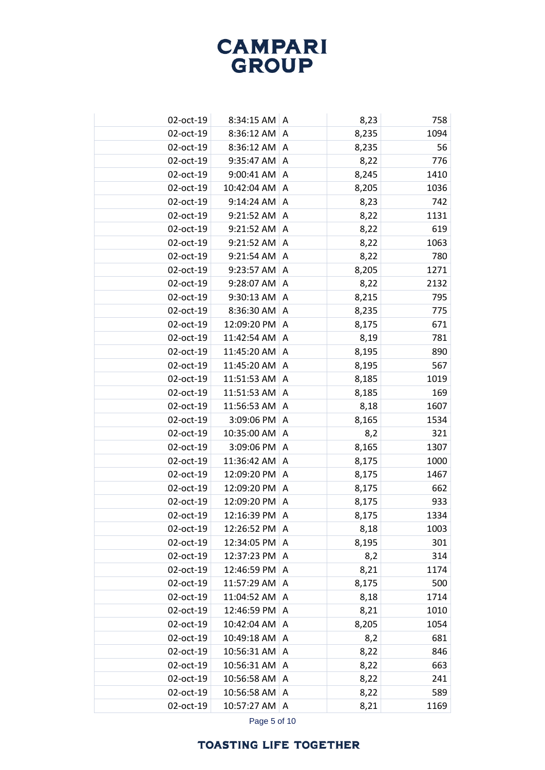| 02-oct-19 | 8:34:15 AM   A  |                | 8,23  | 758  |
|-----------|-----------------|----------------|-------|------|
| 02-oct-19 | 8:36:12 AM      | A              | 8,235 | 1094 |
| 02-oct-19 | $8:36:12$ AM A  |                | 8,235 | 56   |
| 02-oct-19 | 9:35:47 AM      | A              | 8,22  | 776  |
| 02-oct-19 | $9:00:41$ AM A  |                | 8,245 | 1410 |
| 02-oct-19 | 10:42:04 AM     | A              | 8,205 | 1036 |
| 02-oct-19 | 9:14:24 AM      | A              | 8,23  | 742  |
| 02-oct-19 | 9:21:52 AM      | A              | 8,22  | 1131 |
| 02-oct-19 | 9:21:52 AM      | A              | 8,22  | 619  |
| 02-oct-19 | 9:21:52 AM      | Α              | 8,22  | 1063 |
| 02-oct-19 | 9:21:54 AM      | A              | 8,22  | 780  |
| 02-oct-19 | 9:23:57 AM      | A              | 8,205 | 1271 |
| 02-oct-19 | 9:28:07 AM      | A              | 8,22  | 2132 |
| 02-oct-19 | 9:30:13 AM      | A              | 8,215 | 795  |
| 02-oct-19 | 8:36:30 AM      | A              | 8,235 | 775  |
| 02-oct-19 | 12:09:20 PM     | Α              | 8,175 | 671  |
| 02-oct-19 | 11:42:54 AM     | A              | 8,19  | 781  |
| 02-oct-19 | 11:45:20 AM     | Α              | 8,195 | 890  |
| 02-oct-19 | 11:45:20 AM     | A              | 8,195 | 567  |
| 02-oct-19 | 11:51:53 AM     | Α              | 8,185 | 1019 |
| 02-oct-19 | 11:51:53 AM     | A              | 8,185 | 169  |
| 02-oct-19 | 11:56:53 AM     | Α              | 8,18  | 1607 |
| 02-oct-19 | 3:09:06 PM      | A              | 8,165 | 1534 |
| 02-oct-19 | 10:35:00 AM     | Α              | 8,2   | 321  |
| 02-oct-19 | 3:09:06 PM      | A              | 8,165 | 1307 |
| 02-oct-19 | 11:36:42 AM     | Α              | 8,175 | 1000 |
| 02-oct-19 | 12:09:20 PM     | A              | 8,175 | 1467 |
| 02-oct-19 | 12:09:20 PM     | Α              | 8,175 | 662  |
| 02-oct-19 | 12:09:20 PM     | $\overline{A}$ | 8,175 | 933  |
| 02-oct-19 | 12:16:39 PM     | Α              | 8,175 | 1334 |
| 02-oct-19 | 12:26:52 PM     | A              | 8,18  | 1003 |
| 02-oct-19 | 12:34:05 PM     | Α              | 8,195 | 301  |
| 02-oct-19 | 12:37:23 PM     | $\mathsf{A}$   | 8,2   | 314  |
| 02-oct-19 | 12:46:59 PM     | Α              | 8,21  | 1174 |
| 02-oct-19 | 11:57:29 AM     | A              | 8,175 | 500  |
| 02-oct-19 | 11:04:52 AM   A |                | 8,18  | 1714 |
| 02-oct-19 | 12:46:59 PM     | $\mathsf{A}$   | 8,21  | 1010 |
| 02-oct-19 | 10:42:04 AM A   |                | 8,205 | 1054 |
| 02-oct-19 | 10:49:18 AM     | A              | 8,2   | 681  |
| 02-oct-19 | 10:56:31 AM     | A              | 8,22  | 846  |
| 02-oct-19 | 10:56:31 AM     | A              | 8,22  | 663  |
| 02-oct-19 | 10:56:58 AM     | A              | 8,22  | 241  |
| 02-oct-19 | 10:56:58 AM     | A              | 8,22  | 589  |
| 02-oct-19 | 10:57:27 AM     | $\overline{A}$ | 8,21  | 1169 |

Page 5 of 10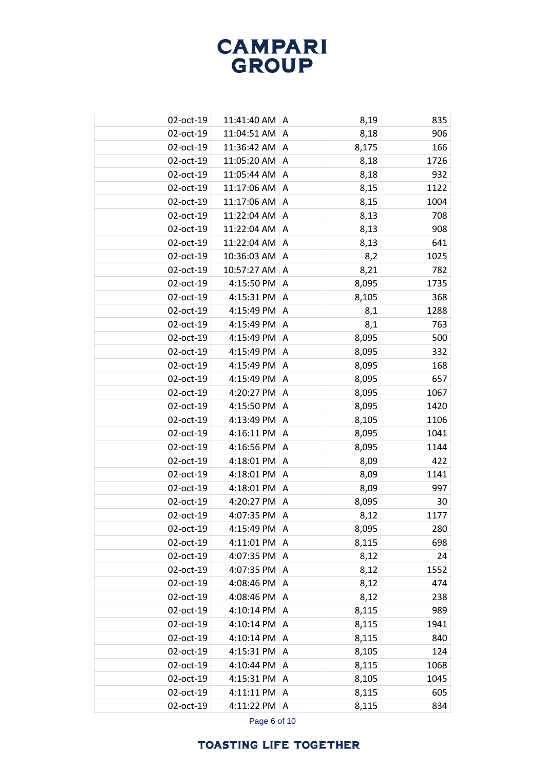| 02-oct-19 | 11:41:40 AM   A |                | 8,19  | 835  |
|-----------|-----------------|----------------|-------|------|
| 02-oct-19 | 11:04:51 AM     | A              | 8,18  | 906  |
| 02-oct-19 | 11:36:42 AM     | Α              | 8,175 | 166  |
| 02-oct-19 | 11:05:20 AM     | A              | 8,18  | 1726 |
| 02-oct-19 | 11:05:44 AM     | Α              | 8,18  | 932  |
| 02-oct-19 | 11:17:06 AM     | A              | 8,15  | 1122 |
| 02-oct-19 | 11:17:06 AM     | A              | 8,15  | 1004 |
| 02-oct-19 | 11:22:04 AM     | A              | 8,13  | 708  |
| 02-oct-19 | 11:22:04 AM   A |                | 8,13  | 908  |
| 02-oct-19 | 11:22:04 AM     | A              | 8,13  | 641  |
| 02-oct-19 | 10:36:03 AM     | A              | 8,2   | 1025 |
| 02-oct-19 | 10:57:27 AM     | A              | 8,21  | 782  |
| 02-oct-19 | 4:15:50 PM      | $\overline{A}$ | 8,095 | 1735 |
| 02-oct-19 | 4:15:31 PM      | A              | 8,105 | 368  |
| 02-oct-19 | 4:15:49 PM      | A              | 8,1   | 1288 |
| 02-oct-19 | 4:15:49 PM      | A              | 8,1   | 763  |
| 02-oct-19 | 4:15:49 PM      | A              | 8,095 | 500  |
| 02-oct-19 | 4:15:49 PM      | A              | 8,095 | 332  |
| 02-oct-19 | 4:15:49 PM      | A              | 8,095 | 168  |
| 02-oct-19 | 4:15:49 PM      | Α              | 8,095 | 657  |
| 02-oct-19 | 4:20:27 PM      | A              | 8,095 | 1067 |
| 02-oct-19 | 4:15:50 PM      | Α              | 8,095 | 1420 |
| 02-oct-19 | 4:13:49 PM      | A              | 8,105 | 1106 |
| 02-oct-19 | 4:16:11 PM      | Α              | 8,095 | 1041 |
| 02-oct-19 | 4:16:56 PM      | A              | 8,095 | 1144 |
| 02-oct-19 | 4:18:01 PM      | A              | 8,09  | 422  |
| 02-oct-19 | 4:18:01 PM      | A              | 8,09  | 1141 |
| 02-oct-19 | 4:18:01 PM      | Α              | 8,09  | 997  |
| 02-oct-19 | 4:20:27 PM      | A              | 8,095 | 30   |
| 02-oct-19 | 4:07:35 PM      | Α              | 8,12  | 1177 |
| 02-oct-19 | 4:15:49 PM      | A              | 8,095 | 280  |
| 02-oct-19 | 4:11:01 PM      | Α              | 8,115 | 698  |
| 02-oct-19 | 4:07:35 PM      | A              | 8,12  | 24   |
| 02-oct-19 | 4:07:35 PM      | Α              | 8,12  | 1552 |
| 02-oct-19 | 4:08:46 PM      | A              | 8,12  | 474  |
| 02-oct-19 | 4:08:46 PM      | Α              | 8,12  | 238  |
| 02-oct-19 | 4:10:14 PM      | A              | 8,115 | 989  |
| 02-oct-19 | 4:10:14 PM      | Α              | 8,115 | 1941 |
| 02-oct-19 | 4:10:14 PM      | A              | 8,115 | 840  |
| 02-oct-19 | 4:15:31 PM      | A              | 8,105 | 124  |
| 02-oct-19 | 4:10:44 PM      | A              | 8,115 | 1068 |
| 02-oct-19 | 4:15:31 PM      | A              | 8,105 | 1045 |
| 02-oct-19 | 4:11:11 PM      | A              | 8,115 | 605  |
| 02-oct-19 | 4:11:22 PM      | A              | 8,115 | 834  |
|           |                 |                |       |      |

Page 6 of 10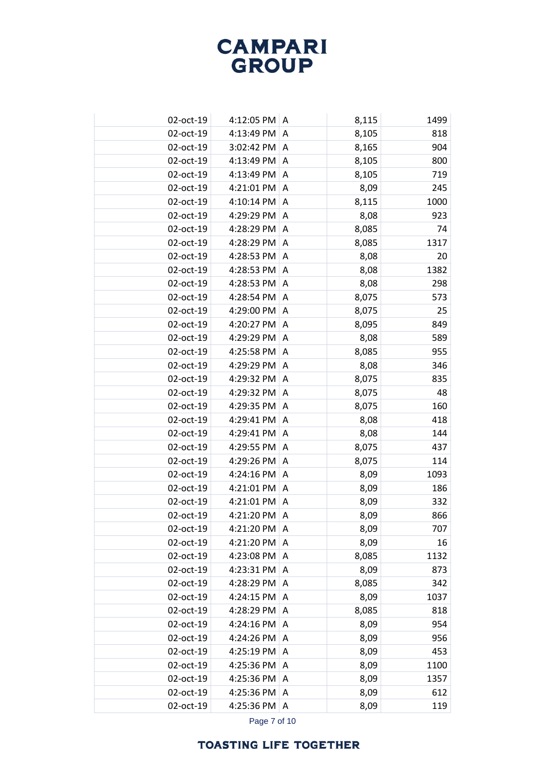| 02-oct-19 | 4:12:05 PM $ A$ |           | 8,115 | 1499 |
|-----------|-----------------|-----------|-------|------|
| 02-oct-19 | 4:13:49 PM      | A         | 8,105 | 818  |
| 02-oct-19 | 3:02:42 PM      | A         | 8,165 | 904  |
| 02-oct-19 | 4:13:49 PM      | A         | 8,105 | 800  |
| 02-oct-19 | 4:13:49 PM      | A         | 8,105 | 719  |
| 02-oct-19 | 4:21:01 PM      | A         | 8,09  | 245  |
| 02-oct-19 | 4:10:14 PM      | A         | 8,115 | 1000 |
| 02-oct-19 | 4:29:29 PM      | Α         | 8,08  | 923  |
| 02-oct-19 | 4:28:29 PM      | A         | 8,085 | 74   |
| 02-oct-19 | 4:28:29 PM      | Α         | 8,085 | 1317 |
| 02-oct-19 | 4:28:53 PM      | A         | 8,08  | 20   |
| 02-oct-19 | 4:28:53 PM      | A         | 8,08  | 1382 |
| 02-oct-19 | 4:28:53 PM      | A         | 8,08  | 298  |
| 02-oct-19 | 4:28:54 PM      | Α         | 8,075 | 573  |
| 02-oct-19 | 4:29:00 PM      | A         | 8,075 | 25   |
| 02-oct-19 | 4:20:27 PM      | Α         | 8,095 | 849  |
| 02-oct-19 | 4:29:29 PM      | A         | 8,08  | 589  |
| 02-oct-19 | 4:25:58 PM      | Α         | 8,085 | 955  |
| 02-oct-19 | 4:29:29 PM      | A         | 8,08  | 346  |
| 02-oct-19 | 4:29:32 PM      | Α         | 8,075 | 835  |
| 02-oct-19 | 4:29:32 PM      | A         | 8,075 | 48   |
| 02-oct-19 | 4:29:35 PM      | Α         | 8,075 | 160  |
| 02-oct-19 | 4:29:41 PM      | A         | 8,08  | 418  |
| 02-oct-19 | 4:29:41 PM      | Α         | 8,08  | 144  |
| 02-oct-19 | 4:29:55 PM      | A         | 8,075 | 437  |
| 02-oct-19 | 4:29:26 PM      | Α         | 8,075 | 114  |
| 02-oct-19 | 4:24:16 PM      | A         | 8,09  | 1093 |
| 02-oct-19 | 4:21:01 PM      | Α         | 8,09  | 186  |
| 02-oct-19 | 4:21:01 PM      | $\Lambda$ | 8,09  | 332  |
| 02-oct-19 | 4:21:20 PM      | Α         | 8,09  | 866  |
| 02-oct-19 | 4:21:20 PM      | A         | 8,09  | 707  |
| 02-oct-19 | 4:21:20 PM      | Α         | 8,09  | 16   |
| 02-oct-19 | 4:23:08 PM      | A         | 8,085 | 1132 |
| 02-oct-19 | 4:23:31 PM      | Α         | 8,09  | 873  |
| 02-oct-19 | 4:28:29 PM      | A         | 8,085 | 342  |
| 02-oct-19 | 4:24:15 PM      | A         | 8,09  | 1037 |
| 02-oct-19 | 4:28:29 PM      | A         | 8,085 | 818  |
| 02-oct-19 | 4:24:16 PM      | A         | 8,09  | 954  |
| 02-oct-19 | 4:24:26 PM      | A         | 8,09  | 956  |
| 02-oct-19 | 4:25:19 PM      | A         | 8,09  | 453  |
| 02-oct-19 | 4:25:36 PM      | A         | 8,09  | 1100 |
| 02-oct-19 | 4:25:36 PM      | A         | 8,09  | 1357 |
| 02-oct-19 | 4:25:36 PM      | A         | 8,09  | 612  |
| 02-oct-19 | 4:25:36 PM      | A         | 8,09  | 119  |
|           |                 |           |       |      |

Page 7 of 10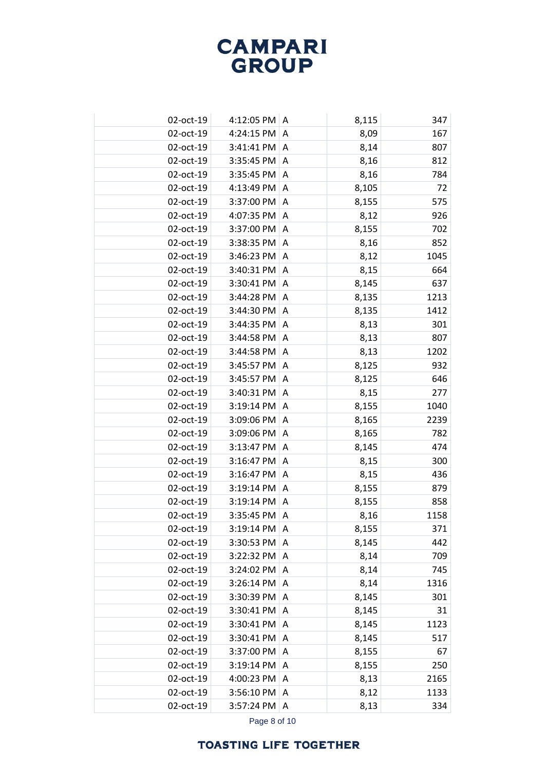| 02-oct-19 | 4:12:05 PM $ A$       |                | 8,115 | 347  |
|-----------|-----------------------|----------------|-------|------|
| 02-oct-19 | 4:24:15 PM            | A              | 8,09  | 167  |
| 02-oct-19 | $3:41:41$ PM $ A$     |                | 8,14  | 807  |
| 02-oct-19 | 3:35:45 PM            | A              | 8,16  | 812  |
| 02-oct-19 | 3:35:45 PM            | A              | 8,16  | 784  |
| 02-oct-19 | 4:13:49 PM            | A              | 8,105 | 72   |
| 02-oct-19 | 3:37:00 PM            | A              | 8,155 | 575  |
| 02-oct-19 | 4:07:35 PM            | A              | 8,12  | 926  |
| 02-oct-19 | 3:37:00 PM            | A              | 8,155 | 702  |
| 02-oct-19 | 3:38:35 PM            | A              | 8,16  | 852  |
| 02-oct-19 | 3:46:23 PM            | A              | 8,12  | 1045 |
| 02-oct-19 | 3:40:31 PM            | A              | 8,15  | 664  |
| 02-oct-19 | 3:30:41 PM            | A              | 8,145 | 637  |
| 02-oct-19 | 3:44:28 PM            | A              | 8,135 | 1213 |
| 02-oct-19 | 3:44:30 PM            | $\overline{A}$ | 8,135 | 1412 |
| 02-oct-19 | 3:44:35 PM            | Α              | 8,13  | 301  |
| 02-oct-19 | 3:44:58 PM            | $\overline{A}$ | 8,13  | 807  |
| 02-oct-19 | 3:44:58 PM            | A              | 8,13  | 1202 |
| 02-oct-19 | 3:45:57 PM            | $\overline{A}$ | 8,125 | 932  |
| 02-oct-19 | 3:45:57 PM            | A              | 8,125 | 646  |
| 02-oct-19 | 3:40:31 PM            | A              | 8,15  | 277  |
| 02-oct-19 | 3:19:14 PM            | A              | 8,155 | 1040 |
| 02-oct-19 | 3:09:06 PM            | $\Lambda$      | 8,165 | 2239 |
| 02-oct-19 | 3:09:06 PM            | A              | 8,165 | 782  |
| 02-oct-19 | 3:13:47 PM            | $\Lambda$      | 8,145 | 474  |
| 02-oct-19 | 3:16:47 PM            | A              | 8,15  | 300  |
| 02-oct-19 | 3:16:47 PM            | $\Lambda$      | 8,15  | 436  |
| 02-oct-19 | 3:19:14 PM            | A              | 8,155 | 879  |
| 02-oct-19 | 3:19:14 PM            | $\Lambda$      | 8,155 | 858  |
| 02-oct-19 | 3:35:45 PM            | A              | 8,16  | 1158 |
| 02-oct-19 | $3:19:14$ PM $ A$     |                | 8,155 | 371  |
| 02-oct-19 | 3:30:53 PM            | A              | 8,145 | 442  |
| 02-oct-19 | 3:22:32 PM            | l A            | 8,14  | 709  |
| 02-oct-19 | 3:24:02 PM A          |                | 8,14  | 745  |
| 02-oct-19 | $3:26:14$ PM $\mid$ A |                | 8,14  | 1316 |
| 02-oct-19 | 3:30:39 PM            | A              | 8,145 | 301  |
| 02-oct-19 | 3:30:41 PM            | A              | 8,145 | 31   |
| 02-oct-19 | 3:30:41 PM            | A              | 8,145 | 1123 |
| 02-oct-19 | 3:30:41 PM            | A              | 8,145 | 517  |
| 02-oct-19 | 3:37:00 PM            | A              | 8,155 | 67   |
| 02-oct-19 | 3:19:14 PM            | A              | 8,155 | 250  |
| 02-oct-19 | 4:00:23 PM            | A              | 8,13  | 2165 |
| 02-oct-19 | 3:56:10 PM            | A              | 8,12  | 1133 |
| 02-oct-19 | 3:57:24 PM            | A              | 8,13  | 334  |

Page 8 of 10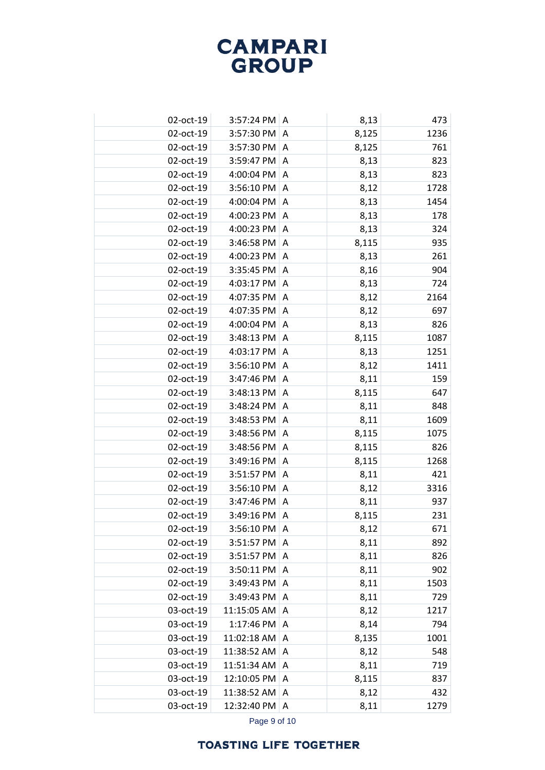| 02-oct-19 | $3:57:24$ PM $\mid$ A |                | 8,13  | 473  |
|-----------|-----------------------|----------------|-------|------|
| 02-oct-19 | 3:57:30 PM            | A              | 8,125 | 1236 |
| 02-oct-19 | 3:57:30 PM A          |                | 8,125 | 761  |
| 02-oct-19 | 3:59:47 PM            | A              | 8,13  | 823  |
| 02-oct-19 | 4:00:04 PM A          |                | 8,13  | 823  |
| 02-oct-19 | 3:56:10 PM            | A              | 8,12  | 1728 |
| 02-oct-19 | 4:00:04 PM A          |                | 8,13  | 1454 |
| 02-oct-19 | 4:00:23 PM            | $\overline{A}$ | 8,13  | 178  |
| 02-oct-19 | 4:00:23 PM A          |                | 8,13  | 324  |
| 02-oct-19 | 3:46:58 PM            | A              | 8,115 | 935  |
| 02-oct-19 | 4:00:23 PM            | A              | 8,13  | 261  |
| 02-oct-19 | 3:35:45 PM            | A              | 8,16  | 904  |
| 02-oct-19 | 4:03:17 PM $ A$       |                | 8,13  | 724  |
| 02-oct-19 | 4:07:35 PM            | A              | 8,12  | 2164 |
| 02-oct-19 | 4:07:35 PM            | A              | 8,12  | 697  |
| 02-oct-19 | 4:00:04 PM            | A              | 8,13  | 826  |
| 02-oct-19 | 3:48:13 PM            | A              | 8,115 | 1087 |
| 02-oct-19 | 4:03:17 PM            | A              | 8,13  | 1251 |
| 02-oct-19 | 3:56:10 PM            | A              | 8,12  | 1411 |
| 02-oct-19 | 3:47:46 PM            | A              | 8,11  | 159  |
| 02-oct-19 | 3:48:13 PM            | A              | 8,115 | 647  |
| 02-oct-19 | 3:48:24 PM            | A              | 8,11  | 848  |
| 02-oct-19 | 3:48:53 PM            | A              | 8,11  | 1609 |
| 02-oct-19 | 3:48:56 PM            | Α              | 8,115 | 1075 |
| 02-oct-19 | 3:48:56 PM            | A              | 8,115 | 826  |
| 02-oct-19 | 3:49:16 PM            | A              | 8,115 | 1268 |
| 02-oct-19 | 3:51:57 PM            | A              | 8,11  | 421  |
| 02-oct-19 | 3:56:10 PM            | A              | 8,12  | 3316 |
| 02-oct-19 | 3:47:46 PM            | A              | 8,11  | 937  |
| 02-oct-19 | 3:49:16 PM            | A              | 8,115 | 231  |
| 02-oct-19 | 3:56:10 PM            | I A            | 8,12  | 671  |
| 02-oct-19 | 3:51:57 PM            | A              | 8,11  | 892  |
| 02-oct-19 | 3:51:57 PM            | l A            | 8,11  | 826  |
| 02-oct-19 | 3:50:11 PM A          |                | 8,11  | 902  |
| 02-oct-19 | 3:49:43 PM $ A$       |                | 8,11  | 1503 |
| 02-oct-19 | $3:49:43$ PM $\mid$ A |                | 8,11  | 729  |
| 03-oct-19 | 11:15:05 AM           | $\overline{A}$ | 8,12  | 1217 |
| 03-oct-19 | 1:17:46 PM $ A$       |                | 8,14  | 794  |
| 03-oct-19 | 11:02:18 AM   A       |                | 8,135 | 1001 |
| 03-oct-19 | 11:38:52 AM   A       |                | 8,12  | 548  |
| 03-oct-19 | 11:51:34 AM           | $\overline{A}$ | 8,11  | 719  |
| 03-oct-19 | 12:10:05 PM A         |                | 8,115 | 837  |
| 03-oct-19 | 11:38:52 AM A         |                | 8,12  | 432  |
| 03-oct-19 | 12:32:40 PM A         |                | 8,11  | 1279 |

Page 9 of 10